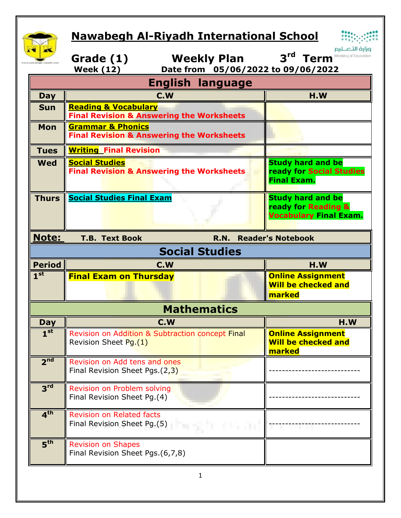## **Nawabegh Al-Riyadh International School**



|                               | <u>Nawabegh Al-Riyadh International School</u>                                          |                       |                                                                                  |  |  |
|-------------------------------|-----------------------------------------------------------------------------------------|-----------------------|----------------------------------------------------------------------------------|--|--|
|                               |                                                                                         |                       | وزارة التصليم                                                                    |  |  |
|                               | Grade (1)                                                                               | <b>Weekly Plan</b>    | 3 <sup>rd</sup><br>Ministry of Education<br><b>Term</b>                          |  |  |
|                               | <b>Week (12)</b>                                                                        |                       | Date from 05/06/2022 to 09/06/2022                                               |  |  |
| <b>English language</b>       |                                                                                         |                       |                                                                                  |  |  |
| <b>Day</b>                    | C.W                                                                                     |                       | H.W                                                                              |  |  |
| <b>Sun</b>                    | <b>Reading &amp; Vocabulary</b><br><b>Final Revision &amp; Answering the Worksheets</b> |                       |                                                                                  |  |  |
| <b>Mon</b>                    | <b>Grammar &amp; Phonics</b><br><b>Final Revision &amp; Answering the Worksheets</b>    |                       |                                                                                  |  |  |
| <b>Tues</b>                   | <b>Writing Final Revision</b>                                                           |                       |                                                                                  |  |  |
| <b>Wed</b>                    | <b>Social Studies</b><br><b>Final Revision &amp; Answering the Worksheets</b>           |                       | <b>Study hard and be</b><br>ready for Social Studies<br><b>Final Exam.</b>       |  |  |
| <b>Thurs</b>                  | <b>Social Studies Final Exam</b>                                                        |                       | <b>Study hard and be</b><br>ready for Reading &<br><b>Vocabulary Final Exam.</b> |  |  |
| Note:                         | <b>T.B. Text Book</b>                                                                   | <b>R.N.</b>           | <b>Reader's Notebook</b>                                                         |  |  |
|                               |                                                                                         | <b>Social Studies</b> |                                                                                  |  |  |
|                               |                                                                                         |                       |                                                                                  |  |  |
| <b>Period</b>                 | C.W                                                                                     |                       | H.W                                                                              |  |  |
| 1 <sup>st</sup>               | <b>Final Exam on Thursday</b>                                                           |                       | <b>Online Assignment</b><br><b>Will be checked and</b><br>marked                 |  |  |
|                               |                                                                                         | <b>Mathematics</b>    |                                                                                  |  |  |
|                               | C.W                                                                                     |                       | H.W                                                                              |  |  |
| <b>Day</b><br>1 <sup>st</sup> | Revision on Addition & Subtraction concept Final<br>Revision Sheet Pg.(1)               |                       | <b>Online Assignment</b><br><b>Will be checked and</b><br>marked                 |  |  |
| 2 <sup>nd</sup>               | Revision on Add tens and ones<br>Final Revision Sheet Pgs.(2,3)                         |                       |                                                                                  |  |  |
| 3 <sup>rd</sup>               | Revision on Problem solving<br>Final Revision Sheet Pg.(4)                              |                       |                                                                                  |  |  |
| 4 <sup>th</sup>               | <b>Revision on Related facts</b><br>Final Revision Sheet Pg.(5)                         |                       |                                                                                  |  |  |
| 5 <sup>th</sup>               | <b>Revision on Shapes</b><br>Final Revision Sheet Pgs.(6,7,8)                           |                       |                                                                                  |  |  |